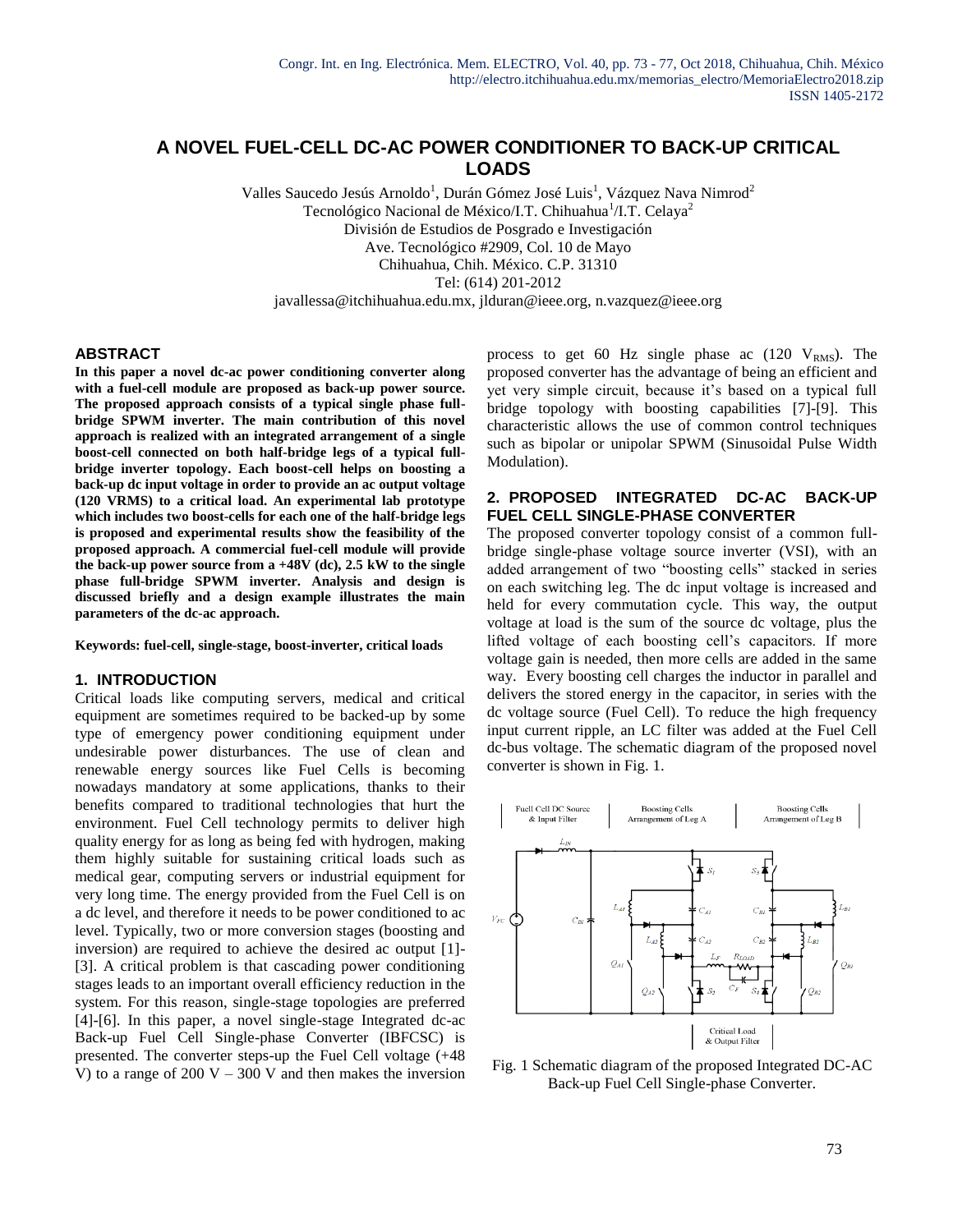# **A NOVEL FUEL-CELL DC-AC POWER CONDITIONER TO BACK-UP CRITICAL LOADS**

Valles Saucedo Jesús Arnoldo<sup>1</sup>, Durán Gómez José Luis<sup>1</sup>, Vázquez Nava Nimrod<sup>2</sup> Tecnológico Nacional de México/I.T. Chihuahua<sup>1</sup>/I.T. Celaya<sup>2</sup> División de Estudios de Posgrado e Investigación Ave. Tecnológico #2909, Col. 10 de Mayo Chihuahua, Chih. México. C.P. 31310 Tel: (614) 201-2012 javallessa@itchihuahua.edu.mx, jlduran@ieee.org, n.vazquez@ieee.org

### **ABSTRACT**

**In this paper a novel dc-ac power conditioning converter along with a fuel-cell module are proposed as back-up power source. The proposed approach consists of a typical single phase fullbridge SPWM inverter. The main contribution of this novel approach is realized with an integrated arrangement of a single boost-cell connected on both half-bridge legs of a typical fullbridge inverter topology. Each boost-cell helps on boosting a back-up dc input voltage in order to provide an ac output voltage (120 VRMS) to a critical load. An experimental lab prototype which includes two boost-cells for each one of the half-bridge legs is proposed and experimental results show the feasibility of the proposed approach. A commercial fuel-cell module will provide the back-up power source from a +48V (dc), 2.5 kW to the single phase full-bridge SPWM inverter. Analysis and design is discussed briefly and a design example illustrates the main parameters of the dc-ac approach.**

**Keywords: fuel-cell, single-stage, boost-inverter, critical loads**

# **1. INTRODUCTION**

Critical loads like computing servers, medical and critical equipment are sometimes required to be backed-up by some type of emergency power conditioning equipment under undesirable power disturbances. The use of clean and renewable energy sources like Fuel Cells is becoming nowadays mandatory at some applications, thanks to their benefits compared to traditional technologies that hurt the environment. Fuel Cell technology permits to deliver high quality energy for as long as being fed with hydrogen, making them highly suitable for sustaining critical loads such as medical gear, computing servers or industrial equipment for very long time. The energy provided from the Fuel Cell is on a dc level, and therefore it needs to be power conditioned to ac level. Typically, two or more conversion stages (boosting and inversion) are required to achieve the desired ac output [1]- [3]. A critical problem is that cascading power conditioning stages leads to an important overall efficiency reduction in the system. For this reason, single-stage topologies are preferred [4]-[6]. In this paper, a novel single-stage Integrated dc-ac Back-up Fuel Cell Single-phase Converter (IBFCSC) is presented. The converter steps-up the Fuel Cell voltage (+48 V) to a range of 200 V – 300 V and then makes the inversion process to get 60 Hz single phase ac  $(120 \text{ V}_{RMS})$ . The proposed converter has the advantage of being an efficient and yet very simple circuit, because it's based on a typical full bridge topology with boosting capabilities [7]-[9]. This characteristic allows the use of common control techniques such as bipolar or unipolar SPWM (Sinusoidal Pulse Width Modulation).

# **2. PROPOSED INTEGRATED DC-AC BACK-UP FUEL CELL SINGLE-PHASE CONVERTER**

The proposed converter topology consist of a common fullbridge single-phase voltage source inverter (VSI), with an added arrangement of two "boosting cells" stacked in series on each switching leg. The dc input voltage is increased and held for every commutation cycle. This way, the output voltage at load is the sum of the source dc voltage, plus the lifted voltage of each boosting cell's capacitors. If more voltage gain is needed, then more cells are added in the same way. Every boosting cell charges the inductor in parallel and delivers the stored energy in the capacitor, in series with the dc voltage source (Fuel Cell). To reduce the high frequency input current ripple, an LC filter was added at the Fuel Cell dc-bus voltage. The schematic diagram of the proposed novel converter is shown in Fig. 1.



Fig. 1 Schematic diagram of the proposed Integrated DC-AC Back-up Fuel Cell Single-phase Converter.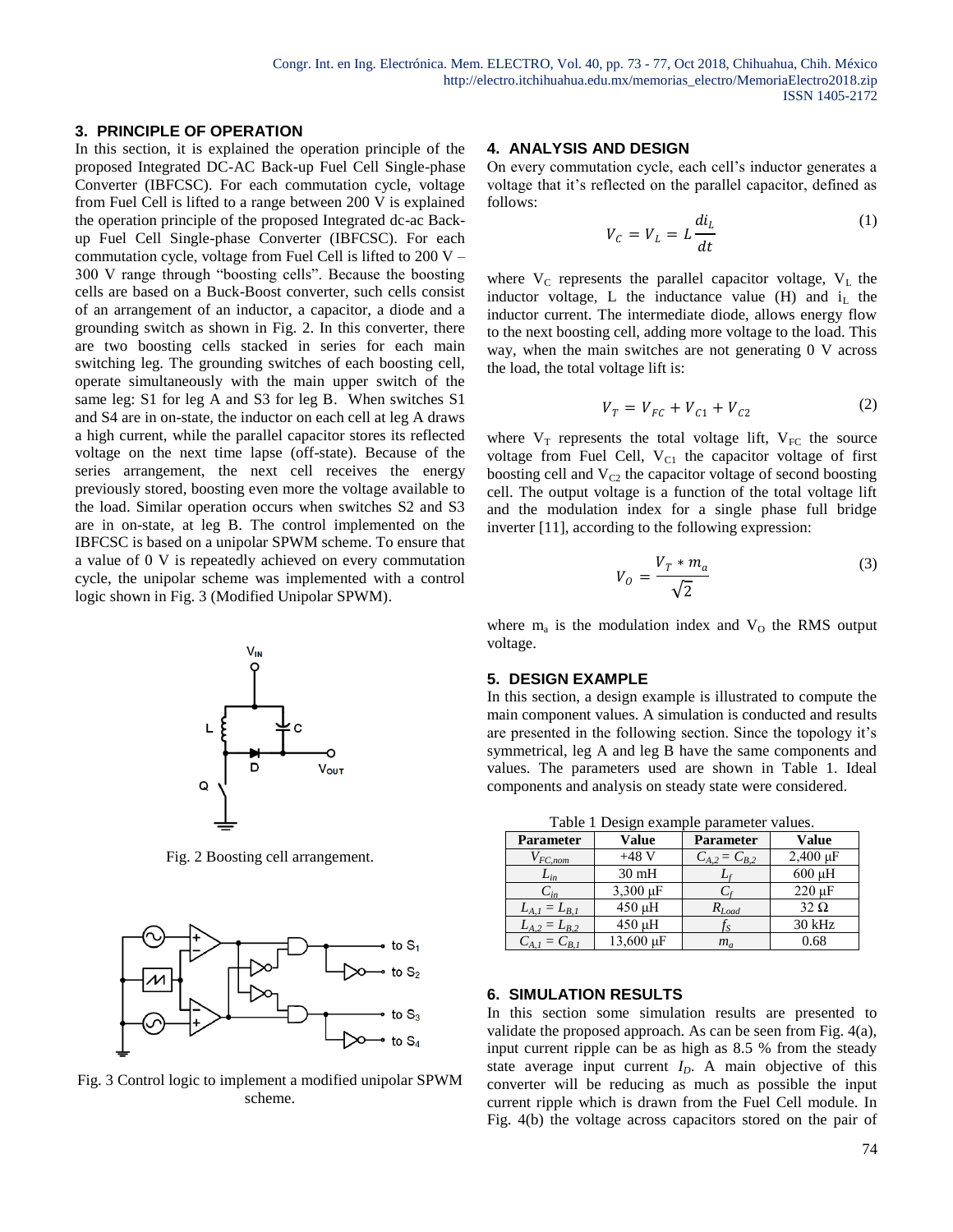# **3. PRINCIPLE OF OPERATION**

In this section, it is explained the operation principle of the proposed Integrated DC-AC Back-up Fuel Cell Single-phase Converter (IBFCSC). For each commutation cycle, voltage from Fuel Cell is lifted to a range between 200 V is explained the operation principle of the proposed Integrated dc-ac Backup Fuel Cell Single-phase Converter (IBFCSC). For each commutation cycle, voltage from Fuel Cell is lifted to  $200 V -$ 300 V range through "boosting cells". Because the boosting cells are based on a Buck-Boost converter, such cells consist of an arrangement of an inductor, a capacitor, a diode and a grounding switch as shown in Fig. 2. In this converter, there are two boosting cells stacked in series for each main switching leg. The grounding switches of each boosting cell, operate simultaneously with the main upper switch of the same leg: S1 for leg A and S3 for leg B. When switches S1 and S4 are in on-state, the inductor on each cell at leg A draws a high current, while the parallel capacitor stores its reflected voltage on the next time lapse (off-state). Because of the series arrangement, the next cell receives the energy previously stored, boosting even more the voltage available to the load. Similar operation occurs when switches S2 and S3 are in on-state, at leg B. The control implemented on the IBFCSC is based on a unipolar SPWM scheme. To ensure that a value of 0 V is repeatedly achieved on every commutation cycle, the unipolar scheme was implemented with a control logic shown in Fig. 3 (Modified Unipolar SPWM).



Fig. 2 Boosting cell arrangement.



Fig. 3 Control logic to implement a modified unipolar SPWM scheme.

#### **4. ANALYSIS AND DESIGN**

On every commutation cycle, each cell's inductor generates a voltage that it's reflected on the parallel capacitor, defined as follows:

$$
V_c = V_L = L \frac{di_L}{dt}
$$
 (1)

where  $V_C$  represents the parallel capacitor voltage,  $V_L$  the inductor voltage, L the inductance value  $(H)$  and  $i<sub>L</sub>$  the inductor current. The intermediate diode, allows energy flow to the next boosting cell, adding more voltage to the load. This way, when the main switches are not generating 0 V across the load, the total voltage lift is:

$$
V_T = V_{FC} + V_{C1} + V_{C2} \tag{2}
$$

where  $V_T$  represents the total voltage lift,  $V_{FC}$  the source voltage from Fuel Cell,  $V_{C1}$  the capacitor voltage of first boosting cell and  $V_{C2}$  the capacitor voltage of second boosting cell. The output voltage is a function of the total voltage lift and the modulation index for a single phase full bridge inverter [11], according to the following expression:

$$
V_o = \frac{V_T * m_a}{\sqrt{2}}\tag{3}
$$

where  $m_a$  is the modulation index and  $V_0$  the RMS output voltage.

#### **5. DESIGN EXAMPLE**

In this section, a design example is illustrated to compute the main component values. A simulation is conducted and results are presented in the following section. Since the topology it's symmetrical, leg A and leg B have the same components and values. The parameters used are shown in Table 1. Ideal components and analysis on steady state were considered.

Table 1 Design example parameter values.

| $\ldots$<br>$P = 1$ |                 |                     |                            |
|---------------------|-----------------|---------------------|----------------------------|
| <b>Parameter</b>    | <b>Value</b>    | Parameter           | Value                      |
| $V_{FC,nom}$        | $+48$ V         | $C_{A,2} = C_{B,2}$ | $2,400 \,\mathrm{\upmu F}$ |
| $L_{in}$            | $30 \text{ mH}$ |                     | $600 \mu H$                |
| $C_{in}$            | 3,300 µF        |                     | $220 \text{ }\mu\text{F}$  |
| $L_{A,I} = L_{B,I}$ | 450 µH          | $R_{Load}$          | $32 \Omega$                |
| $L_{A,2} = L_{B,2}$ | 450 µH          |                     | 30 kHz                     |
| $C_{A,I} = C_{B,I}$ | 13,600 µF       | $m_a$               | 0.68                       |

## **6. SIMULATION RESULTS**

In this section some simulation results are presented to validate the proposed approach. As can be seen from Fig. 4(a), input current ripple can be as high as 8.5 % from the steady state average input current *ID*. A main objective of this converter will be reducing as much as possible the input current ripple which is drawn from the Fuel Cell module. In Fig. 4(b) the voltage across capacitors stored on the pair of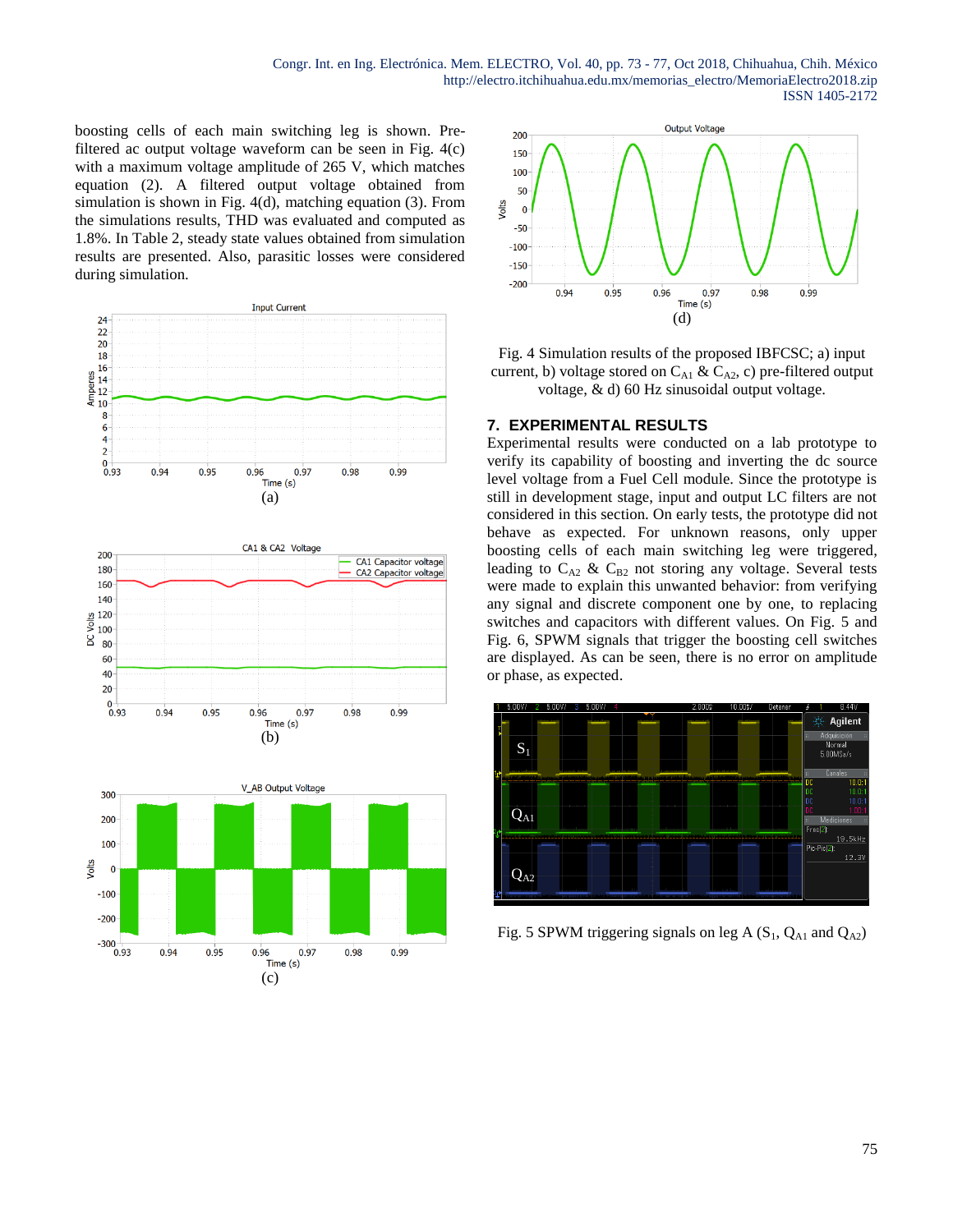boosting cells of each main switching leg is shown. Prefiltered ac output voltage waveform can be seen in Fig. 4(c) with a maximum voltage amplitude of 265 V, which matches equation (2). A filtered output voltage obtained from simulation is shown in Fig. 4(d), matching equation (3). From the simulations results, THD was evaluated and computed as 1.8%. In Table 2, steady state values obtained from simulation results are presented. Also, parasitic losses were considered during simulation.





Fig. 4 Simulation results of the proposed IBFCSC; a) input current, b) voltage stored on  $C_{A1}$  &  $C_{A2}$ , c) pre-filtered output voltage, & d) 60 Hz sinusoidal output voltage.

## **7. EXPERIMENTAL RESULTS**

Experimental results were conducted on a lab prototype to verify its capability of boosting and inverting the dc source level voltage from a Fuel Cell module. Since the prototype is still in development stage, input and output LC filters are not considered in this section. On early tests, the prototype did not behave as expected. For unknown reasons, only upper boosting cells of each main switching leg were triggered, leading to  $C_{A2}$  &  $C_{B2}$  not storing any voltage. Several tests were made to explain this unwanted behavior: from verifying any signal and discrete component one by one, to replacing switches and capacitors with different values. On Fig. 5 and Fig. 6, SPWM signals that trigger the boosting cell switches are displayed. As can be seen, there is no error on amplitude or phase, as expected.



Fig. 5 SPWM triggering signals on leg A  $(S_1, Q_{A1}$  and  $Q_{A2})$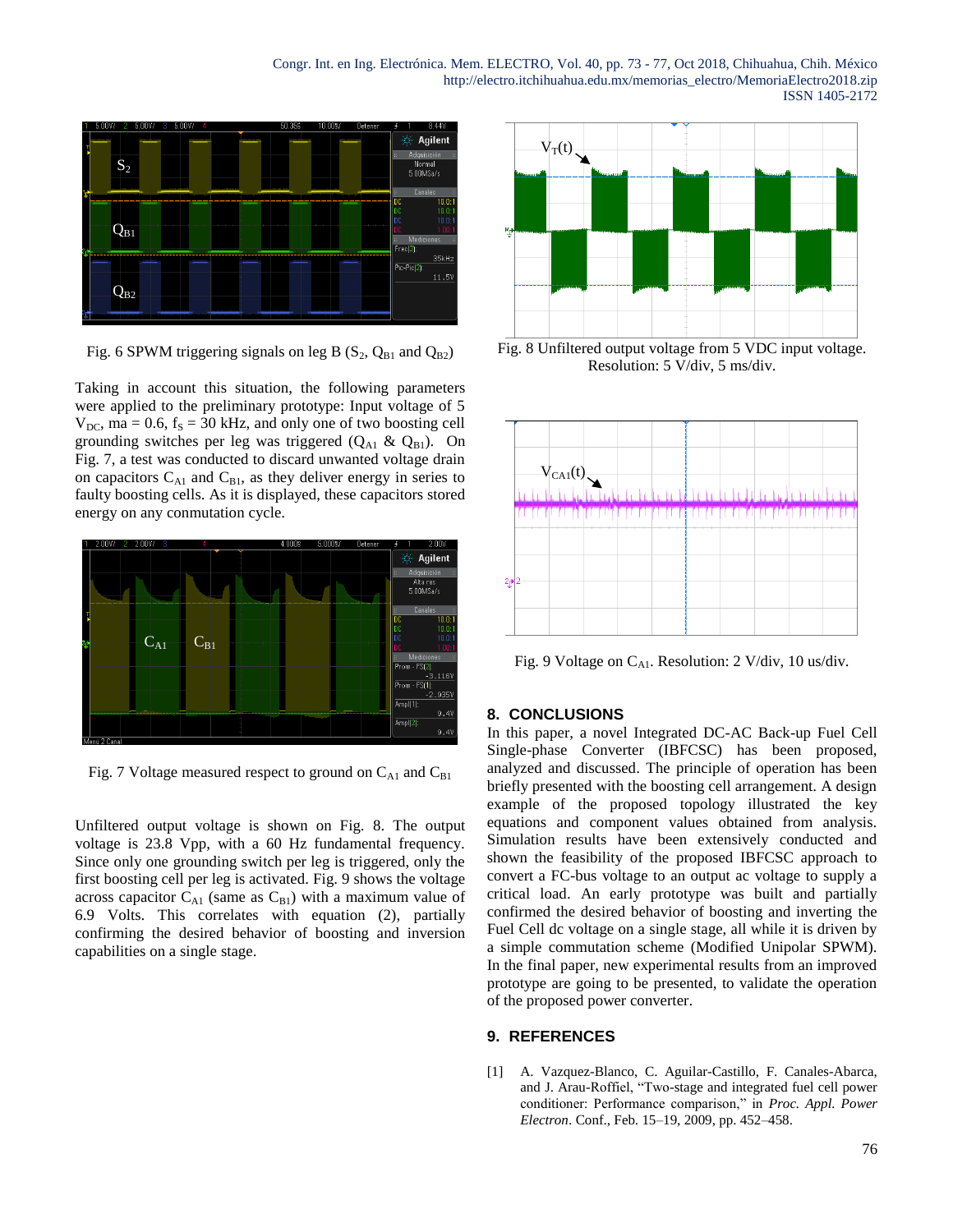Congr. Int. en Ing. Electrónica. Mem. ELECTRO, Vol. 40, pp. 73 - 77, Oct 2018, Chihuahua, Chih. México http://electro.itchihuahua.edu.mx/memorias\_electro/MemoriaElectro2018.zip ISSN 1405-2172



Fig. 6 SPWM triggering signals on leg B  $(S_2, Q_{B1}$  and  $Q_{B2})$ 

Taking in account this situation, the following parameters were applied to the preliminary prototype: Input voltage of 5  $V_{DC}$ , ma = 0.6, f<sub>S</sub> = 30 kHz, and only one of two boosting cell grounding switches per leg was triggered  $(Q_{A1} \& Q_{B1})$ . On Fig. 7, a test was conducted to discard unwanted voltage drain on capacitors  $C_{A1}$  and  $C_{B1}$ , as they deliver energy in series to faulty boosting cells. As it is displayed, these capacitors stored energy on any conmutation cycle.



Fig. 7 Voltage measured respect to ground on  $C_{A1}$  and  $C_{B1}$ 

Unfiltered output voltage is shown on Fig. 8. The output voltage is 23.8 Vpp, with a 60 Hz fundamental frequency. Since only one grounding switch per leg is triggered, only the first boosting cell per leg is activated. Fig. 9 shows the voltage across capacitor  $C_{A1}$  (same as  $C_{B1}$ ) with a maximum value of 6.9 Volts. This correlates with equation (2), partially confirming the desired behavior of boosting and inversion capabilities on a single stage.



Fig. 8 Unfiltered output voltage from 5 VDC input voltage. Resolution: 5 V/div, 5 ms/div.



Fig. 9 Voltage on  $C_{A1}$ . Resolution: 2 V/div, 10 us/div.

#### **8. CONCLUSIONS**

In this paper, a novel Integrated DC-AC Back-up Fuel Cell Single-phase Converter (IBFCSC) has been proposed, analyzed and discussed. The principle of operation has been briefly presented with the boosting cell arrangement. A design example of the proposed topology illustrated the key equations and component values obtained from analysis. Simulation results have been extensively conducted and shown the feasibility of the proposed IBFCSC approach to convert a FC-bus voltage to an output ac voltage to supply a critical load. An early prototype was built and partially confirmed the desired behavior of boosting and inverting the Fuel Cell dc voltage on a single stage, all while it is driven by a simple commutation scheme (Modified Unipolar SPWM). In the final paper, new experimental results from an improved prototype are going to be presented, to validate the operation of the proposed power converter.

#### **9. REFERENCES**

[1] A. Vazquez-Blanco, C. Aguilar-Castillo, F. Canales-Abarca, and J. Arau-Roffiel, "Two-stage and integrated fuel cell power conditioner: Performance comparison," in *Proc. Appl. Power Electron*. Conf., Feb. 15–19, 2009, pp. 452–458.